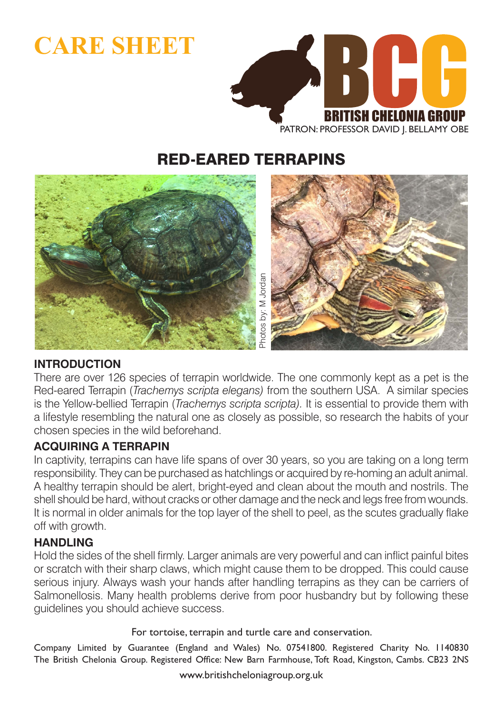# **CARE SHEET**



## RED-EARED TERRAPINS



#### **INTRODUCTION**

There are over 126 species of terrapin worldwide. The one commonly kept as a pet is the Red-eared Terrapin (*Trachemys scripta elegans)* from the southern USA. A similar species is the Yellow-bellied Terrapin (*Trachemys scripta scripta).* It is essential to provide them with a lifestyle resembling the natural one as closely as possible, so research the habits of your chosen species in the wild beforehand.

#### **ACQUIRING A TERRAPIN**

In captivity, terrapins can have life spans of over 30 years, so you are taking on a long term responsibility. They can be purchased as hatchlings or acquired by re-homing an adult animal. A healthy terrapin should be alert, bright-eyed and clean about the mouth and nostrils. The shell should be hard, without cracks or other damage and the neck and legs free from wounds. It is normal in older animals for the top layer of the shell to peel, as the scutes gradually flake off with growth. We have a scripta elegans) from the so-<br>scripta elegans) from the so-<br>rachemys scripta scripta). It is<br>al one as closely as possible,<br>orehand.<br>life spans of over 30 years, sc<br>hased as hatchlings or acquire<br>ert, bright-eyed

#### **HANDLING**

Hold the sides of the shell firmly. Larger animals are very powerful and can inflict painful bites or scratch with their sharp claws, which might cause them to be dropped. This could cause serious injury. Always wash your hands after handling terrapins as they can be carriers of Salmonellosis. Many health problems derive from poor husbandry but by following these guidelines you should achieve success.

For tortoise, terrapin and turtle care and conservation.

Company Limited by Guarantee (England and Wales) No. 07541800. Registered Charity No. 1140830 The British Chelonia Group. Registered Office: New Barn Farmhouse, Toft Road, Kingston, Cambs. CB23 2NS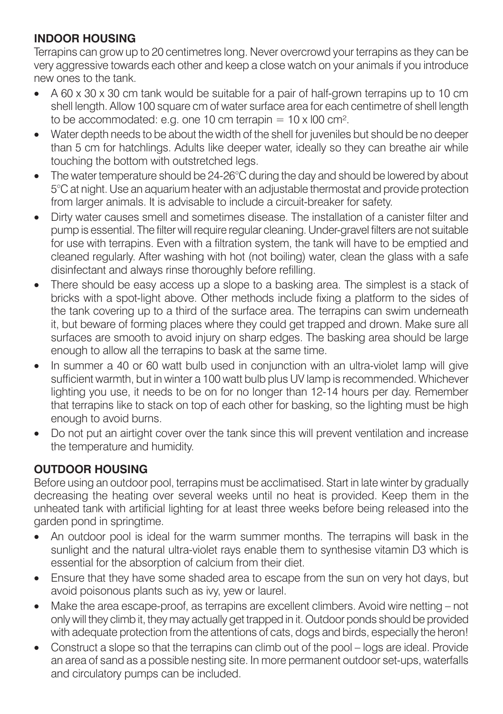#### **INDOOR HOUSING**

Terrapins can grow up to 20 centimetres long. Never overcrowd your terrapins as they can be very aggressive towards each other and keep a close watch on your animals if you introduce new ones to the tank.

- $\lambda$  60 x 30 x 30 cm tank would be suitable for a pair of half-grown terrapins up to 10 cm shell length. Allow 100 square cm of water surface area for each centimetre of shell length to be accommodated: e.g. one 10 cm terrapin  $= 10 \times 100$  cm<sup>2</sup>.
- Water depth needs to be about the width of the shell for juveniles but should be no deeper than 5 cm for hatchlings. Adults like deeper water, ideally so they can breathe air while touching the bottom with outstretched legs.
- The water temperature should be 24-26°C during the day and should be lowered by about 5°C at night. Use an aquarium heater with an adjustable thermostat and provide protection from larger animals. It is advisable to include a circuit-breaker for safety.
- Dirty water causes smell and sometimes disease. The installation of a canister filter and pump is essential. The filter will require regular cleaning. Under-gravel filters are not suitable for use with terrapins. Even with a filtration system, the tank will have to be emptied and cleaned regularly. After washing with hot (not boiling) water, clean the glass with a safe disinfectant and always rinse thoroughly before refilling.
- There should be easy access up a slope to a basking area. The simplest is a stack of bricks with a spot-light above. Other methods include fixing a platform to the sides of the tank covering up to a third of the surface area. The terrapins can swim underneath it, but beware of forming places where they could get trapped and drown. Make sure all surfaces are smooth to avoid injury on sharp edges. The basking area should be large enough to allow all the terrapins to bask at the same time.
- In summer a 40 or 60 watt bulb used in conjunction with an ultra-violet lamp will give sufficient warmth, but in winter a 100 watt bulb plus UV lamp is recommended. Whichever lighting you use, it needs to be on for no longer than 12-14 hours per day. Remember that terrapins like to stack on top of each other for basking, so the lighting must be high enough to avoid burns.
- Do not put an airtight cover over the tank since this will prevent ventilation and increase the temperature and humidity.

## **OUTDOOR HOUSING**

Before using an outdoor pool, terrapins must be acclimatised. Start in late winter by gradually decreasing the heating over several weeks until no heat is provided. Keep them in the unheated tank with artificial lighting for at least three weeks before being released into the garden pond in springtime.

- An outdoor pool is ideal for the warm summer months. The terrapins will bask in the sunlight and the natural ultra-violet rays enable them to synthesise vitamin D3 which is essential for the absorption of calcium from their diet.
- Ensure that they have some shaded area to escape from the sun on very hot days, but avoid poisonous plants such as ivy, yew or laurel.
- Make the area escape-proof, as terrapins are excellent climbers. Avoid wire netting not only will they climb it, they may actually get trapped in it. Outdoor ponds should be provided with adequate protection from the attentions of cats, dogs and birds, especially the heron!
- Construct a slope so that the terrapins can climb out of the pool logs are ideal. Provide an area of sand as a possible nesting site. In more permanent outdoor set-ups, waterfalls and circulatory pumps can be included.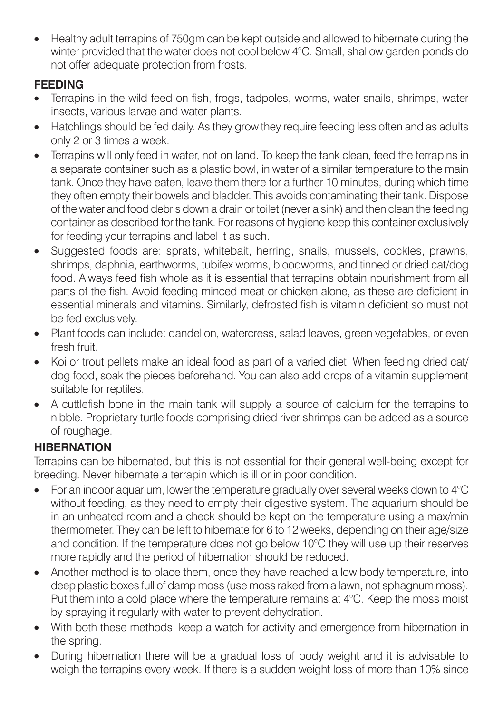• Healthy adult terrapins of 750gm can be kept outside and allowed to hibernate during the winter provided that the water does not cool below 4°C. Small, shallow garden ponds do not offer adequate protection from frosts.

#### **FEEDING**

- Terrapins in the wild feed on fish, frogs, tadpoles, worms, water snails, shrimps, water insects, various larvae and water plants.
- Hatchlings should be fed daily. As they grow they require feeding less often and as adults only 2 or 3 times a week.
- Terrapins will only feed in water, not on land. To keep the tank clean, feed the terrapins in a separate container such as a plastic bowl, in water of a similar temperature to the main tank. Once they have eaten, leave them there for a further 10 minutes, during which time they often empty their bowels and bladder. This avoids contaminating their tank. Dispose of the water and food debris down a drain or toilet (never a sink) and then clean the feeding container as described for the tank. For reasons of hygiene keep this container exclusively for feeding your terrapins and label it as such.
- Suggested foods are: sprats, whitebait, herring, snails, mussels, cockles, prawns, shrimps, daphnia, earthworms, tubifex worms, bloodworms, and tinned or dried cat/dog food. Always feed fish whole as it is essential that terrapins obtain nourishment from all parts of the fish. Avoid feeding minced meat or chicken alone, as these are deficient in essential minerals and vitamins. Similarly, defrosted fish is vitamin deficient so must not be fed exclusively.
- Plant foods can include: dandelion, watercress, salad leaves, green vegetables, or even fresh fruit.
- Koi or trout pellets make an ideal food as part of a varied diet. When feeding dried cat/ dog food, soak the pieces beforehand. You can also add drops of a vitamin supplement suitable for reptiles.
- A cuttlefish bone in the main tank will supply a source of calcium for the terrapins to nibble. Proprietary turtle foods comprising dried river shrimps can be added as a source of roughage.

## **HIBERNATION**

Terrapins can be hibernated, but this is not essential for their general well-being except for breeding. Never hibernate a terrapin which is ill or in poor condition.

- For an indoor aquarium, lower the temperature gradually over several weeks down to  $4^{\circ}C$ without feeding, as they need to empty their digestive system. The aquarium should be in an unheated room and a check should be kept on the temperature using a max/min thermometer. They can be left to hibernate for 6 to 12 weeks, depending on their age/size and condition. If the temperature does not go below 10°C they will use up their reserves more rapidly and the period of hibernation should be reduced.
- Another method is to place them, once they have reached a low body temperature, into deep plastic boxes full of damp moss (use moss raked from a lawn, not sphagnum moss). Put them into a cold place where the temperature remains at 4°C. Keep the moss moist by spraying it regularly with water to prevent dehydration.
- With both these methods, keep a watch for activity and emergence from hibernation in the spring.
- During hibernation there will be a gradual loss of body weight and it is advisable to weigh the terrapins every week. If there is a sudden weight loss of more than 10% since